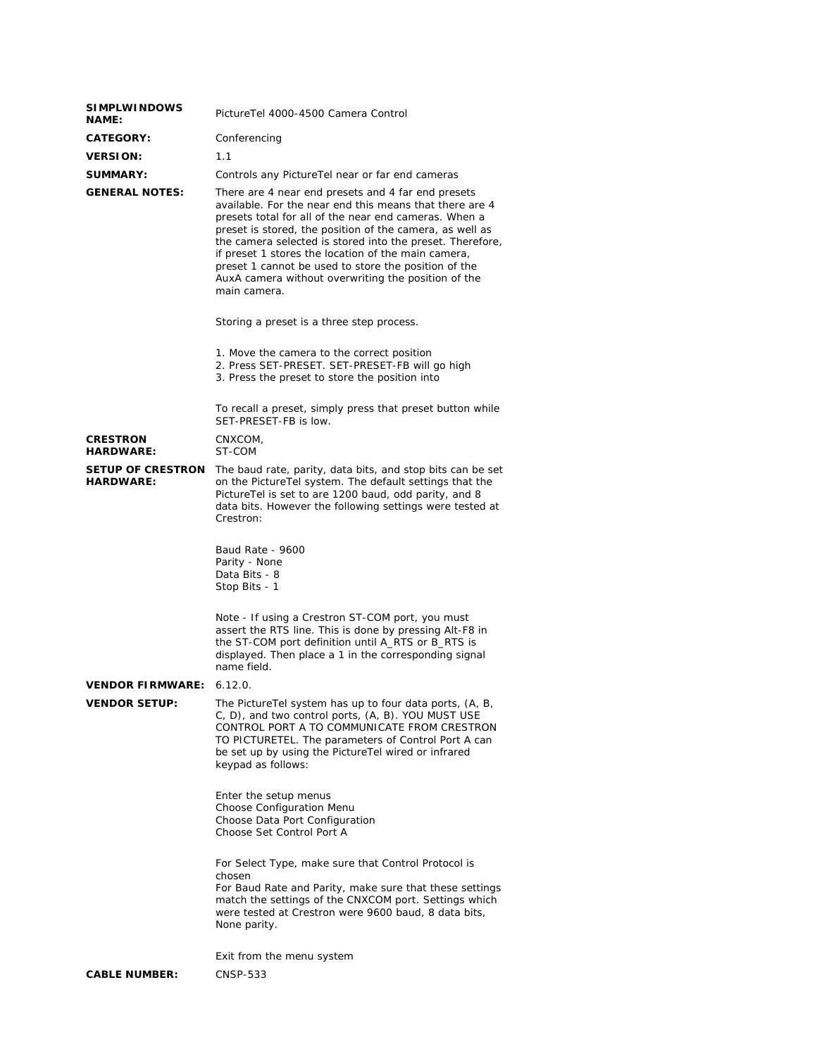| <b>SIMPLWINDOWS</b><br>NAME:          | PictureTel 4000-4500 Camera Control                                                                                                                                                                                                                                                                                                                                                                                                                                                   |  |
|---------------------------------------|---------------------------------------------------------------------------------------------------------------------------------------------------------------------------------------------------------------------------------------------------------------------------------------------------------------------------------------------------------------------------------------------------------------------------------------------------------------------------------------|--|
| <b>CATEGORY:</b>                      | Conferencing                                                                                                                                                                                                                                                                                                                                                                                                                                                                          |  |
| <b>VERSION:</b>                       | 1.1                                                                                                                                                                                                                                                                                                                                                                                                                                                                                   |  |
| <b>SUMMARY:</b>                       | Controls any PictureTel near or far end cameras                                                                                                                                                                                                                                                                                                                                                                                                                                       |  |
| <b>GENERAL NOTES:</b>                 | There are 4 near end presets and 4 far end presets<br>available. For the near end this means that there are 4<br>presets total for all of the near end cameras. When a<br>preset is stored, the position of the camera, as well as<br>the camera selected is stored into the preset. Therefore,<br>if preset 1 stores the location of the main camera,<br>preset 1 cannot be used to store the position of the<br>AuxA camera without overwriting the position of the<br>main camera. |  |
|                                       | Storing a preset is a three step process.                                                                                                                                                                                                                                                                                                                                                                                                                                             |  |
|                                       | 1. Move the camera to the correct position<br>2. Press SET-PRESET. SET-PRESET-FB will go high<br>3. Press the preset to store the position into                                                                                                                                                                                                                                                                                                                                       |  |
|                                       | To recall a preset, simply press that preset button while<br>SET-PRESET-FB is low.                                                                                                                                                                                                                                                                                                                                                                                                    |  |
| <b>CRESTRON</b><br><b>HARDWARE:</b>   | CNXCOM.<br>ST-COM                                                                                                                                                                                                                                                                                                                                                                                                                                                                     |  |
| SETUP OF CRESTRON<br><b>HARDWARE:</b> | The baud rate, parity, data bits, and stop bits can be set<br>on the PictureTel system. The default settings that the<br>Picture Tel is set to are 1200 baud, odd parity, and 8<br>data bits. However the following settings were tested at<br>Crestron:                                                                                                                                                                                                                              |  |
|                                       | Baud Rate - 9600<br>Parity - None<br>Data Bits - 8<br>Stop Bits - 1                                                                                                                                                                                                                                                                                                                                                                                                                   |  |
|                                       | Note - If using a Crestron ST-COM port, you must<br>assert the RTS line. This is done by pressing Alt-F8 in<br>the ST-COM port definition until A_RTS or B_RTS is<br>displayed. Then place a 1 in the corresponding signal<br>name field.                                                                                                                                                                                                                                             |  |
| VENDOR FIRMWARE:                      | 6.12.0.                                                                                                                                                                                                                                                                                                                                                                                                                                                                               |  |
| <b>VENDOR SETUP:</b>                  | The PictureTel system has up to four data ports, (A, B,<br>C, D), and two control ports, (A, B). YOU MUST USE<br>CONTROL PORT A TO COMMUNICATE FROM CRESTRON<br>TO PICTURETEL. The parameters of Control Port A can<br>be set up by using the PictureTel wired or infrared<br>keypad as follows:                                                                                                                                                                                      |  |
|                                       | Enter the setup menus<br>Choose Configuration Menu<br>Choose Data Port Configuration<br>Choose Set Control Port A                                                                                                                                                                                                                                                                                                                                                                     |  |
|                                       | For Select Type, make sure that Control Protocol is<br>chosen<br>For Baud Rate and Parity, make sure that these settings<br>match the settings of the CNXCOM port. Settings which<br>were tested at Crestron were 9600 baud, 8 data bits,<br>None parity.                                                                                                                                                                                                                             |  |
|                                       | Exit from the menu system                                                                                                                                                                                                                                                                                                                                                                                                                                                             |  |
| <b>CABLE NUMBER:</b>                  | CNSP-533                                                                                                                                                                                                                                                                                                                                                                                                                                                                              |  |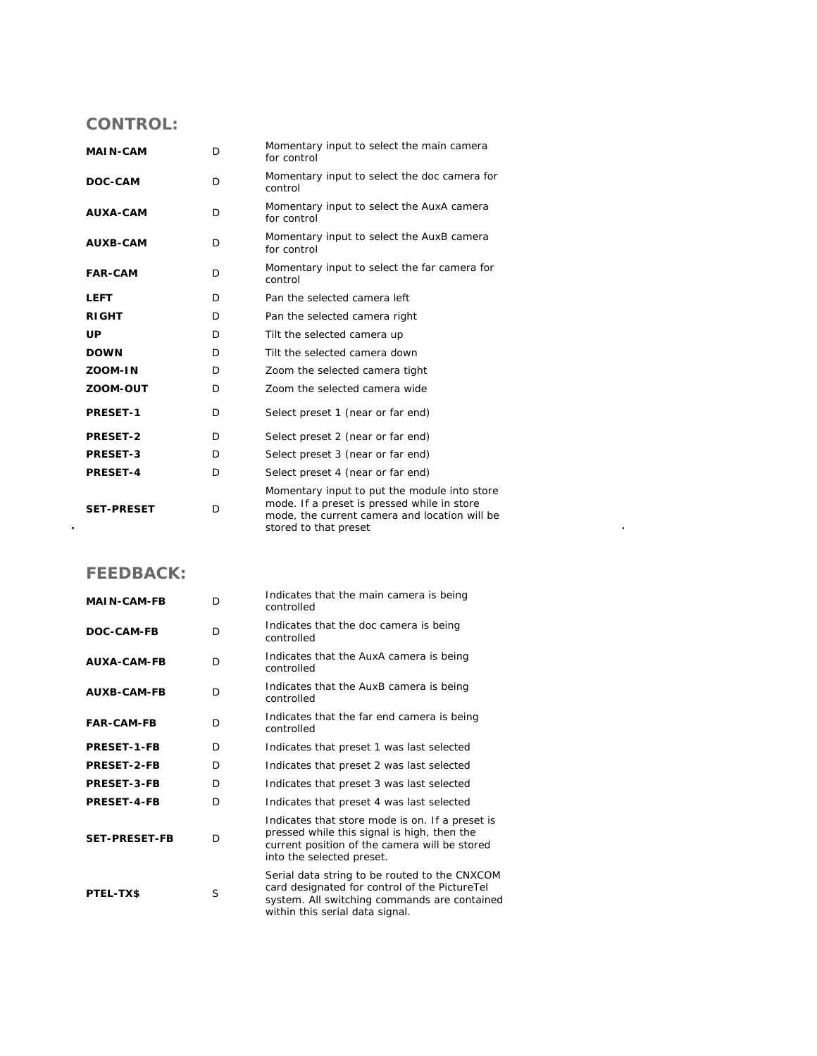## **CONTROL:**

| <b>MAIN-CAM</b>   | D | Momentary input to select the main camera<br>for control                                                                                                              |
|-------------------|---|-----------------------------------------------------------------------------------------------------------------------------------------------------------------------|
| DOC-CAM           | D | Momentary input to select the doc camera for<br>control                                                                                                               |
| AUXA-CAM          | D | Momentary input to select the AuxA camera<br>for control                                                                                                              |
| <b>AUXB-CAM</b>   | D | Momentary input to select the AuxB camera<br>for control                                                                                                              |
| <b>FAR-CAM</b>    | D | Momentary input to select the far camera for<br>control                                                                                                               |
| <b>LEFT</b>       | D | Pan the selected camera left                                                                                                                                          |
| <b>RIGHT</b>      | D | Pan the selected camera right                                                                                                                                         |
| <b>UP</b>         | D | Tilt the selected camera up                                                                                                                                           |
| <b>DOWN</b>       | D | Tilt the selected camera down                                                                                                                                         |
| ZOOM-IN           | D | Zoom the selected camera tight                                                                                                                                        |
| ZOOM-OUT          | D | Zoom the selected camera wide                                                                                                                                         |
| <b>PRESET-1</b>   | D | Select preset 1 (near or far end)                                                                                                                                     |
| PRESET-2          | D | Select preset 2 (near or far end)                                                                                                                                     |
| <b>PRESET-3</b>   | D | Select preset 3 (near or far end)                                                                                                                                     |
| <b>PRESET-4</b>   | D | Select preset 4 (near or far end)                                                                                                                                     |
| <b>SET-PRESET</b> | D | Momentary input to put the module into store<br>mode. If a preset is pressed while in store<br>mode, the current camera and location will be<br>stored to that preset |

 $\mathcal{L}^{\text{max}}_{\text{max}}$ 

## **FEEDBACK:**

| <b>MAIN-CAM-FB</b>   | D  | Indicates that the main camera is being<br>controlled                                                                                                                             |
|----------------------|----|-----------------------------------------------------------------------------------------------------------------------------------------------------------------------------------|
| <b>DOC-CAM-FB</b>    | D  | Indicates that the doc camera is being<br>controlled                                                                                                                              |
| <b>AUXA-CAM-FB</b>   | D  | Indicates that the AuxA camera is being<br>controlled                                                                                                                             |
| <b>AUXB-CAM-FB</b>   | D. | Indicates that the AuxB camera is being<br>controlled                                                                                                                             |
| <b>FAR-CAM-FB</b>    | D  | Indicates that the far end camera is being<br>controlled                                                                                                                          |
| <b>PRESET-1-FB</b>   | D. | Indicates that preset 1 was last selected                                                                                                                                         |
| <b>PRESET-2-FB</b>   | D  | Indicates that preset 2 was last selected                                                                                                                                         |
| <b>PRESET-3-FB</b>   | D. | Indicates that preset 3 was last selected                                                                                                                                         |
| <b>PRESET-4-FB</b>   | D  | Indicates that preset 4 was last selected                                                                                                                                         |
| <b>SET-PRESET-FB</b> | D  | Indicates that store mode is on. If a preset is<br>pressed while this signal is high, then the<br>current position of the camera will be stored<br>into the selected preset.      |
| PTEL-TX\$            | S  | Serial data string to be routed to the CNXCOM<br>card designated for control of the PictureTel<br>system. All switching commands are contained<br>within this serial data signal. |